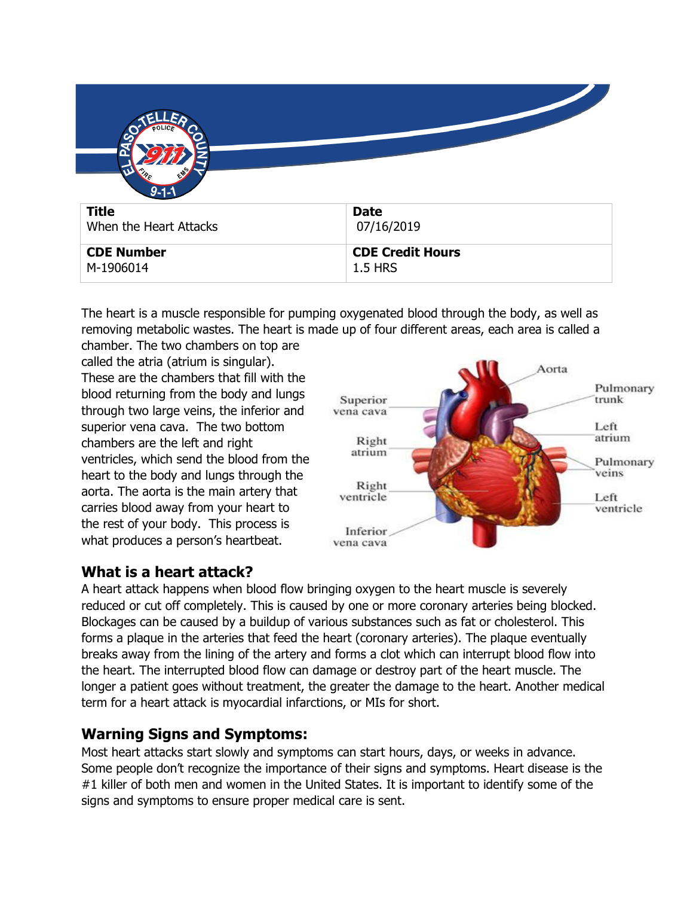| $9 - 1 - 1$            |                         |
|------------------------|-------------------------|
| <b>Title</b>           | <b>Date</b>             |
| When the Heart Attacks | 07/16/2019              |
| <b>CDE Number</b>      | <b>CDE Credit Hours</b> |
| M-1906014              | <b>1.5 HRS</b>          |

The heart is a muscle responsible for pumping oxygenated blood through the body, as well as removing metabolic wastes. The heart is made up of four different areas, each area is called a

chamber. The two chambers on top are called the atria (atrium is singular). These are the chambers that fill with the blood returning from the body and lungs through two large veins, the inferior and superior vena cava. The two bottom chambers are the left and right ventricles, which send the blood from the heart to the body and lungs through the aorta. The aorta is the main artery that carries blood away from your heart to the rest of your body. This process is what produces a person's heartbeat.



# **What is a heart attack?**

A heart attack happens when blood flow bringing oxygen to the heart muscle is severely reduced or cut off completely. This is caused by one or more coronary arteries being blocked. Blockages can be caused by a buildup of various substances such as fat or cholesterol. This forms a plaque in the arteries that feed the heart (coronary arteries). The plaque eventually breaks away from the lining of the artery and forms a clot which can interrupt blood flow into the heart. The interrupted blood flow can damage or destroy part of the heart muscle. The longer a patient goes without treatment, the greater the damage to the heart. Another medical term for a heart attack is myocardial infarctions, or MIs for short.

# **Warning Signs and Symptoms:**

Most heart attacks start slowly and symptoms can start hours, days, or weeks in advance. Some people don't recognize the importance of their signs and symptoms. Heart disease is the #1 killer of both men and women in the United States. It is important to identify some of the signs and symptoms to ensure proper medical care is sent.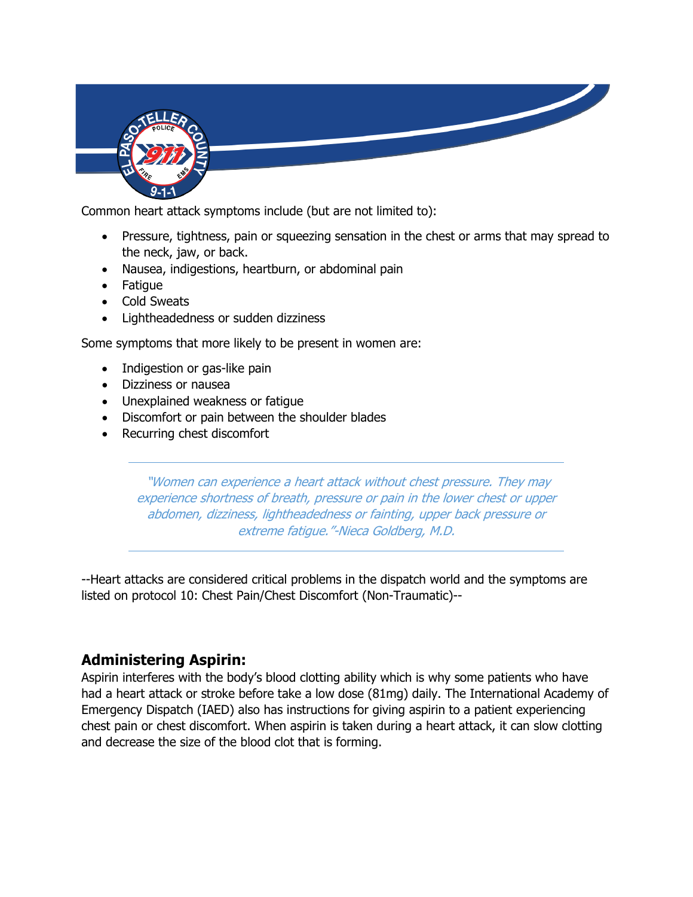

Common heart attack symptoms include (but are not limited to):

- Pressure, tightness, pain or squeezing sensation in the chest or arms that may spread to the neck, jaw, or back.
- Nausea, indigestions, heartburn, or abdominal pain
- Fatigue
- Cold Sweats
- Lightheadedness or sudden dizziness

Some symptoms that more likely to be present in women are:

- Indigestion or gas-like pain
- Dizziness or nausea
- Unexplained weakness or fatigue
- Discomfort or pain between the shoulder blades
- Recurring chest discomfort

"Women can experience a heart attack without chest pressure. They may experience shortness of breath, pressure or pain in the lower chest or upper abdomen, dizziness, lightheadedness or fainting, upper back pressure or extreme fatigue."-Nieca Goldberg, M.D.

--Heart attacks are considered critical problems in the dispatch world and the symptoms are listed on protocol 10: Chest Pain/Chest Discomfort (Non-Traumatic)--

# **Administering Aspirin:**

Aspirin interferes with the body's blood clotting ability which is why some patients who have had a heart attack or stroke before take a low dose (81mg) daily. The International Academy of Emergency Dispatch (IAED) also has instructions for giving aspirin to a patient experiencing chest pain or chest discomfort. When aspirin is taken during a heart attack, it can slow clotting and decrease the size of the blood clot that is forming.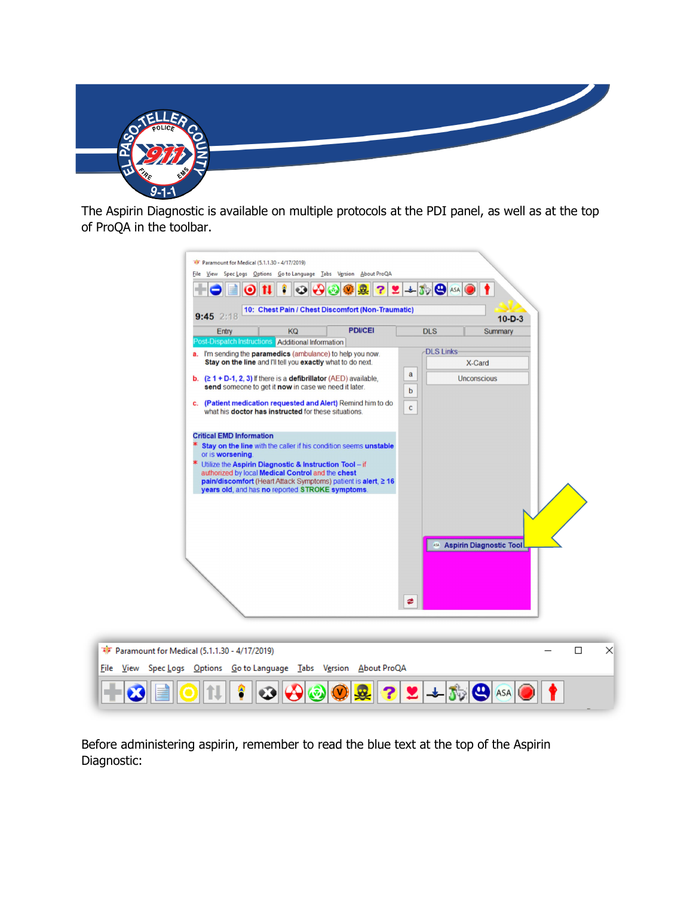

The Aspirin Diagnostic is available on multiple protocols at the PDI panel, as well as at the top of ProQA in the toolbar.

| <b>F</b> Paramount for Medical (5.1.1.30 - 4/17/2019)<br>File View Spec Logs Options Go to Language Tabs Version About ProQA<br>О<br>10: Chest Pain / Chest Discomfort (Non-Traumatic)<br>$9:45$ 2:18                                                                                                                                                       | $2 + 50$ $\circ$ ASA<br>$10 - D - 3$       |
|-------------------------------------------------------------------------------------------------------------------------------------------------------------------------------------------------------------------------------------------------------------------------------------------------------------------------------------------------------------|--------------------------------------------|
| <b>PDI/CEI</b><br>Entry<br>KQ<br>Post-Dispatch Instructions Additional Information                                                                                                                                                                                                                                                                          | <b>DLS</b><br>Summary                      |
| a. I'm sending the <b>paramedics</b> (ambulance) to help you now.<br>Stay on the line and I'll tell you exactly what to do next.                                                                                                                                                                                                                            | <b>DLS Links</b><br>X-Card<br>$\mathbf{a}$ |
| <b>b.</b> $(21 + D-1, 2, 3)$ If there is a <b>defibrillator</b> (AED) available,<br>send someone to get it now in case we need it later.                                                                                                                                                                                                                    | <b>Unconscious</b><br>$\mathbf b$          |
| c. (Patient medication requested and Alert) Remind him to do<br>what his doctor has instructed for these situations.                                                                                                                                                                                                                                        | $\mathsf{C}$                               |
| <b>Critical EMD Information</b><br>Stay on the line with the caller if his condition seems unstable<br>or is worsening.<br>Utilize the Aspirin Diagnostic & Instruction Tool - if<br>authorized by local Medical Control and the chest<br>pain/discomfort (Heart Attack Symptoms) patient is alert, ≥ 16<br>years old, and has no reported STROKE symptoms. | <b>ASA</b> Aspirin Diagnostic Tool         |
|                                                                                                                                                                                                                                                                                                                                                             | ≉                                          |
| aramount for Medical (5.1.1.30 - 4/17/2019)                                                                                                                                                                                                                                                                                                                 | $\Box$<br>$\times$                         |
| Spec Logs Options Go to Language Tabs Version About ProQA<br>View                                                                                                                                                                                                                                                                                           |                                            |
|                                                                                                                                                                                                                                                                                                                                                             | ASA                                        |

Before administering aspirin, remember to read the blue text at the top of the Aspirin Diagnostic:

‡r<br>P Eile

÷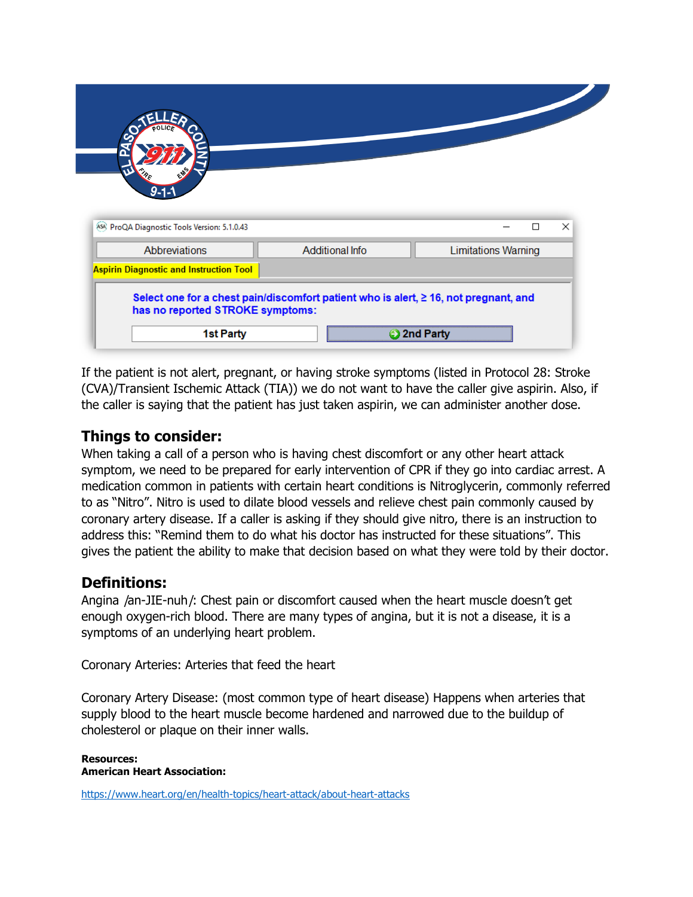| 9-1-                                           |                        |                            |   |   |
|------------------------------------------------|------------------------|----------------------------|---|---|
|                                                |                        |                            |   |   |
|                                                |                        |                            |   |   |
|                                                |                        |                            |   |   |
|                                                |                        |                            |   |   |
| [ASA] ProQA Diagnostic Tools Version: 5.1.0.43 |                        |                            | □ | × |
|                                                |                        |                            |   |   |
| Abbreviations                                  | <b>Additional Info</b> | <b>Limitations Warning</b> |   |   |
| <b>Aspirin Diagnostic and Instruction Tool</b> |                        |                            |   |   |

If the patient is not alert, pregnant, or having stroke symptoms (listed in Protocol 28: Stroke (CVA)/Transient Ischemic Attack (TIA)) we do not want to have the caller give aspirin. Also, if the caller is saying that the patient has just taken aspirin, we can administer another dose.

## **Things to consider:**

When taking a call of a person who is having chest discomfort or any other heart attack symptom, we need to be prepared for early intervention of CPR if they go into cardiac arrest. A medication common in patients with certain heart conditions is Nitroglycerin, commonly referred to as "Nitro". Nitro is used to dilate blood vessels and relieve chest pain commonly caused by coronary artery disease. If a caller is asking if they should give nitro, there is an instruction to address this: "Remind them to do what his doctor has instructed for these situations". This gives the patient the ability to make that decision based on what they were told by their doctor.

### **Definitions:**

Angina /an-JIE-nuh/: Chest pain or discomfort caused when the heart muscle doesn't get enough oxygen-rich blood. There are many types of angina, but it is not a disease, it is a symptoms of an underlying heart problem.

Coronary Arteries: Arteries that feed the heart

Coronary Artery Disease: (most common type of heart disease) Happens when arteries that supply blood to the heart muscle become hardened and narrowed due to the buildup of cholesterol or plaque on their inner walls.

**Resources: American Heart Association:** 

<https://www.heart.org/en/health-topics/heart-attack/about-heart-attacks>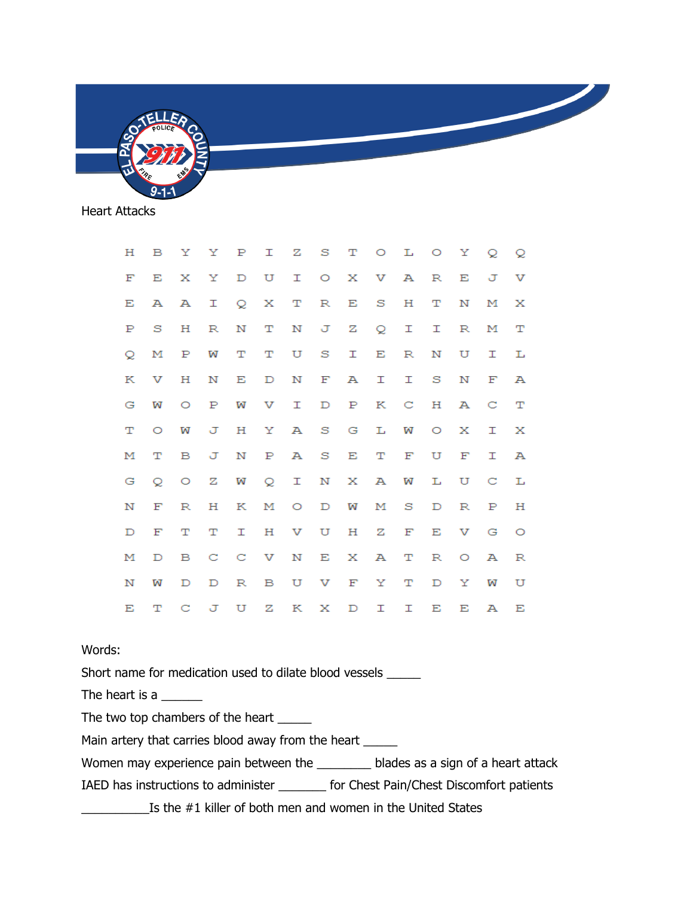

Heart Attacks

| н | $\mathbf{B}$ |              |              |                | YYPIZSTOLOYQQ   |           |     |              |              |              |              |         |              |              |
|---|--------------|--------------|--------------|----------------|-----------------|-----------|-----|--------------|--------------|--------------|--------------|---------|--------------|--------------|
| F | Е            | $\mathbf{X}$ | $\mathbf{Y}$ | $\mathbb D$    | U               |           |     |              | I O X V A    |              | R            | Е       | ਾ            | v            |
| Е | А            | $\mathbf{A}$ |              |                | I Q X T R E S   |           |     |              |              | Н            | т            | Ν       | м            | X            |
| Р | s            | н            | $\mathbb{R}$ | N              | $\mathbf{T}$    |           |     |              | N J Z Q I I  |              |              | R       | м            | т            |
| Q | м            | $\mathbf{P}$ | w            | т              | T.              |           | U S | 工            | $\mathbf{E}$ | R            | N            | U       | I            | L            |
| К | v            | н            | N            | Е              |                 | D N F A   |     |              | 工            | I            | $^{\circ}$ S | N       | $\mathbf{F}$ | А            |
| G | W            | $\circ$      | $\mathbf{P}$ | W              |                 | V I       |     |              | D P K C H    |              |              | А       | $\mathbf C$  | $\mathbf{T}$ |
| т | $\circ$      | w            |              |                | J H Y A S G L W |           |     |              |              |              | $\circ$      | X       | I            | $\mathbf{X}$ |
| м | т            | в            |              | J N            |                 | P A S E   |     |              | $\mathbf T$  | $\mathbf{F}$ | U            | F       | I            | $\mathbb A$  |
| G | ୍ତ           |              | $O Z$ $W$    |                | Q I N X A W     |           |     |              |              |              | L            | $U$ $C$ |              | $\mathbb{L}$ |
| N | F            | R            | н            | K              |                 | M O D W   |     |              | М            | - S          | $\mathbb{D}$ | R       | Р            | н            |
| D | F            | т            | т            | I              |                 | H V U H Z |     |              |              | F            | $-E$         | V G     |              | $\circ$      |
| м | D            | B C          |              | $\mathbf{C}$   | V N E X A       |           |     |              |              | T.           | R            | $O$ $A$ |              | $_{\rm R}$   |
| N | W            | D            |              | D <sub>R</sub> |                 | B U V F Y |     |              |              | т            | D            | Y       | w            | U            |
| Е | $\mathbf T$  | $\mathbf C$  |              | JU Z           |                 |           | K X | $\mathbb{D}$ | т            | п            | Е            | Е       | $\mathbf{A}$ | Е            |

#### Words:

Short name for medication used to dilate blood vessels \_\_\_\_\_

The heart is a \_\_\_\_\_\_\_

The two top chambers of the heart \_\_\_\_\_

Main artery that carries blood away from the heart \_\_\_\_\_

Women may experience pain between the \_\_\_\_\_\_\_ blades as a sign of a heart attack

IAED has instructions to administer \_\_\_\_\_\_\_ for Chest Pain/Chest Discomfort patients

\_\_\_\_\_\_\_\_\_\_Is the #1 killer of both men and women in the United States